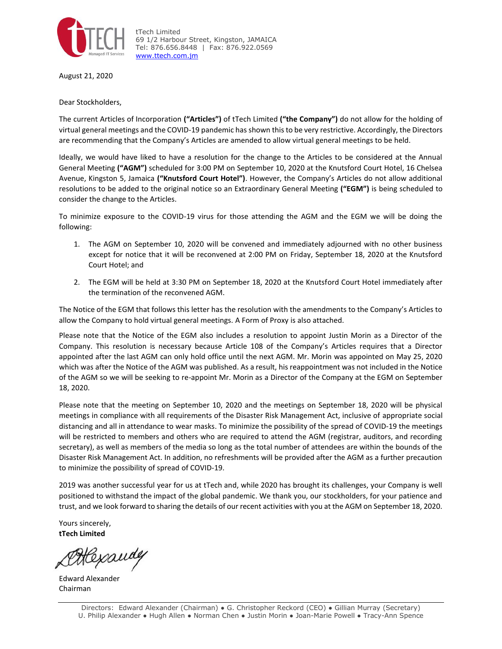

tTech Limited 69 1/2 Harbour Street, Kingston, JAMAICA Tel: 876.656.8448 | Fax: 876.922.0569 [www.ttech.com.jm](http://www.ttech.com.jm/)

August 21, 2020

Dear Stockholders,

The current Articles of Incorporation **("Articles")** of tTech Limited **("the Company")** do not allow for the holding of virtual general meetings and the COVID-19 pandemic has shown this to be very restrictive. Accordingly, the Directors are recommending that the Company's Articles are amended to allow virtual general meetings to be held.

Ideally, we would have liked to have a resolution for the change to the Articles to be considered at the Annual General Meeting **("AGM")** scheduled for 3:00 PM on September 10, 2020 at the Knutsford Court Hotel, 16 Chelsea Avenue, Kingston 5, Jamaica **("Knutsford Court Hotel")**. However, the Company's Articles do not allow additional resolutions to be added to the original notice so an Extraordinary General Meeting **("EGM")** is being scheduled to consider the change to the Articles.

To minimize exposure to the COVID-19 virus for those attending the AGM and the EGM we will be doing the following:

- 1. The AGM on September 10, 2020 will be convened and immediately adjourned with no other business except for notice that it will be reconvened at 2:00 PM on Friday, September 18, 2020 at the Knutsford Court Hotel; and
- 2. The EGM will be held at 3:30 PM on September 18, 2020 at the Knutsford Court Hotel immediately after the termination of the reconvened AGM.

The Notice of the EGM that follows this letter has the resolution with the amendments to the Company's Articles to allow the Company to hold virtual general meetings. A Form of Proxy is also attached.

Please note that the Notice of the EGM also includes a resolution to appoint Justin Morin as a Director of the Company. This resolution is necessary because Article 108 of the Company's Articles requires that a Director appointed after the last AGM can only hold office until the next AGM. Mr. Morin was appointed on May 25, 2020 which was after the Notice of the AGM was published. As a result, his reappointment was not included in the Notice of the AGM so we will be seeking to re-appoint Mr. Morin as a Director of the Company at the EGM on September 18, 2020.

Please note that the meeting on September 10, 2020 and the meetings on September 18, 2020 will be physical meetings in compliance with all requirements of the Disaster Risk Management Act, inclusive of appropriate social distancing and all in attendance to wear masks. To minimize the possibility of the spread of COVID-19 the meetings will be restricted to members and others who are required to attend the AGM (registrar, auditors, and recording secretary), as well as members of the media so long as the total number of attendees are within the bounds of the Disaster Risk Management Act. In addition, no refreshments will be provided after the AGM as a further precaution to minimize the possibility of spread of COVID-19.

2019 was another successful year for us at tTech and, while 2020 has brought its challenges, your Company is well positioned to withstand the impact of the global pandemic. We thank you, our stockholders, for your patience and trust, and we look forward to sharing the details of our recent activities with you at the AGM on September 18, 2020.

Yours sincerely, **tTech Limited**

Hexandy

Edward Alexander Chairman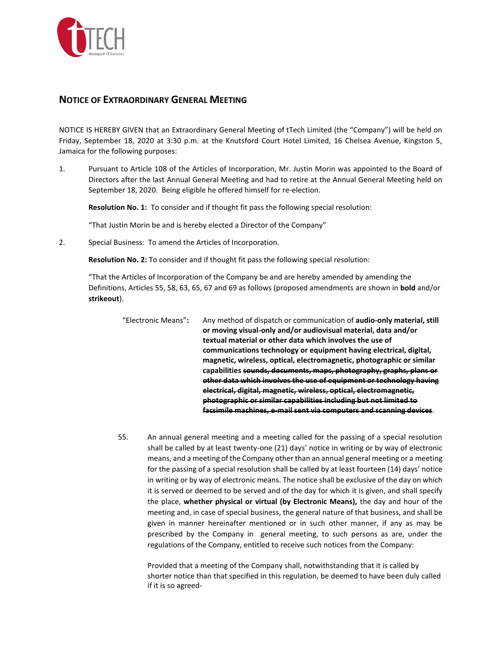

## **NOTICE OF EXTRAORDINARY GENERAL MEETING**

NOTICE IS HEREBY GIVEN that an Extraordinary General Meeting of tTech Limited (the "Company") will be held on Friday, September 18, 2020 at 3:30 p.m. at the Knutsford Court Hotel Limited, 16 Chelsea Avenue, Kingston 5, Jamaica for the following purposes:

1. Pursuant to Article 108 of the Articles of Incorporation, Mr. Justin Morin was appointed to the Board of Directors after the last Annual General Meeting and had to retire at the Annual General Meeting held on September 18, 2020. Being eligible he offered himself for re-election.

**Resolution No. 1:** To consider and if thought fit pass the following special resolution:

"That Justin Morin be and is hereby elected a Director of the Company"

2. Special Business: To amend the Articles of Incorporation.

**Resolution No. 2:** To consider and if thought fit pass the following special resolution:

"That the Articles of Incorporation of the Company be and are hereby amended by amending the Definitions, Articles 55, 58, 63, 65, 67 and 69 as follows (proposed amendments are shown in **bold** and/or **strikeout**).

"Electronic Means"**:** Any method of dispatch or communication of **audio-only material, still or moving visual-only and/or audiovisual material, data and/or textual material or other data which involves the use of communications technology or equipment having electrical, digital, magnetic, wireless, optical, electromagnetic, photographic or similar capabilities sounds, documents, maps, photography, graphs, plans or other data which involves the use of equipment or technology having electrical, digital, magnetic, wireless, optical, electromagnetic, photographic or similar capabilities including but not limited to facsimile machines, e-mail sent via computers and scanning devices**.

55. An annual general meeting and a meeting called for the passing of a special resolution shall be called by at least twenty-one (21) days' notice in writing or by way of electronic means, and a meeting of the Company other than an annual general meeting or a meeting for the passing of a special resolution shall be called by at least fourteen (14) days' notice in writing or by way of electronic means. The notice shall be exclusive of the day on which it is served or deemed to be served and of the day for which it is given, and shall specify the place, **whether physical or virtual (by Electronic Means),** the day and hour of the meeting and, in case of special business, the general nature of that business, and shall be given in manner hereinafter mentioned or in such other manner, if any as may be prescribed by the Company in general meeting, to such persons as are, under the regulations of the Company, entitled to receive such notices from the Company:

Provided that a meeting of the Company shall, notwithstanding that it is called by shorter notice than that specified in this regulation, be deemed to have been duly called if it is so agreed-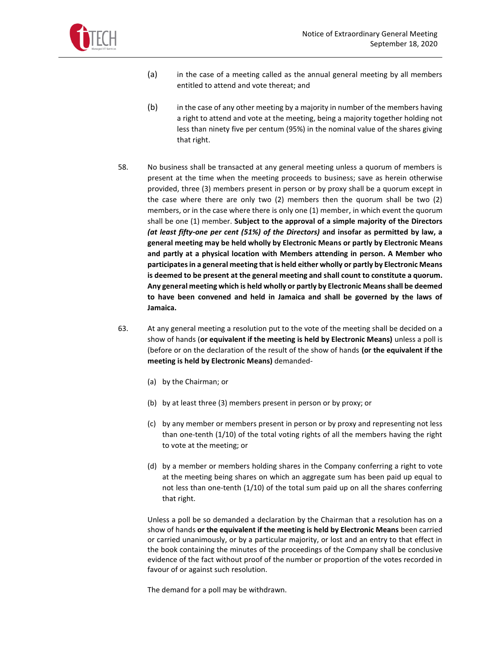

- (a) in the case of a meeting called as the annual general meeting by all members entitled to attend and vote thereat; and
- (b) in the case of any other meeting by a majority in number of the members having a right to attend and vote at the meeting, being a majority together holding not less than ninety five per centum (95%) in the nominal value of the shares giving that right.
- 58. No business shall be transacted at any general meeting unless a quorum of members is present at the time when the meeting proceeds to business; save as herein otherwise provided, three (3) members present in person or by proxy shall be a quorum except in the case where there are only two (2) members then the quorum shall be two (2) members, or in the case where there is only one (1) member, in which event the quorum shall be one (1) member. **Subject to the approval of a simple majority of the Directors**  *(at least fifty-one per cent (51%) of the Directors)* **and insofar as permitted by law, a general meeting may be held wholly by Electronic Means or partly by Electronic Means and partly at a physical location with Members attending in person. A Member who participates in a general meeting that is held either wholly or partly by Electronic Means is deemed to be present at the general meeting and shall count to constitute a quorum. Any general meeting which is held wholly or partly by Electronic Means shall be deemed to have been convened and held in Jamaica and shall be governed by the laws of Jamaica.**
- 63. At any general meeting a resolution put to the vote of the meeting shall be decided on a show of hands (**or equivalent if the meeting is held by Electronic Means)** unless a poll is (before or on the declaration of the result of the show of hands **(or the equivalent if the meeting is held by Electronic Means)** demanded-
	- (a) by the Chairman; or
	- (b) by at least three (3) members present in person or by proxy; or
	- (c) by any member or members present in person or by proxy and representing not less than one-tenth (1/10) of the total voting rights of all the members having the right to vote at the meeting; or
	- (d) by a member or members holding shares in the Company conferring a right to vote at the meeting being shares on which an aggregate sum has been paid up equal to not less than one-tenth (1/10) of the total sum paid up on all the shares conferring that right.

Unless a poll be so demanded a declaration by the Chairman that a resolution has on a show of hands **or the equivalent if the meeting is held by Electronic Means** been carried or carried unanimously, or by a particular majority, or lost and an entry to that effect in the book containing the minutes of the proceedings of the Company shall be conclusive evidence of the fact without proof of the number or proportion of the votes recorded in favour of or against such resolution.

The demand for a poll may be withdrawn.